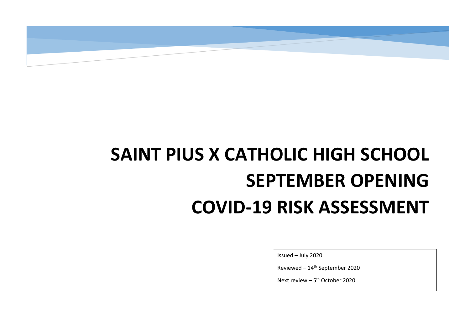## **SAINT PIUS X CATHOLIC HIGH SCHOOL SEPTEMBER OPENING COVID-19 RISK ASSESSMENT**

Issued – July 2020

Reviewed – 14th September 2020

Next review - 5<sup>th</sup> October 2020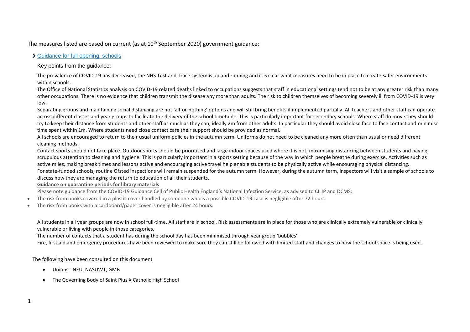The measures listed are based on current (as at  $10<sup>th</sup>$  September 2020) government guidance:

## > [Guidance for full opening: schools](https://www.gov.uk/government/publications/actions-for-schools-during-the-coronavirus-outbreak/guidance-for-full-opening-schools)

Key points from the guidance:

The prevalence of COVID-19 has decreased, the NHS Test and Trace system is up and running and it is clear what measures need to be in place to create safer environments within schools.

The Office of National Statistics analysis on COVID-19 related deaths linked to occupations suggests that staff in educational settings tend not to be at any greater risk than many other occupations. There is no evidence that children transmit the disease any more than adults. The risk to children themselves of becoming severely ill from COVID-19 is very low.

Separating groups and maintaining social distancing are not 'all-or-nothing' options and will still bring benefits if implemented partially. All teachers and other staff can operate across different classes and year groups to facilitate the delivery of the school timetable. This is particularly important for secondary schools. Where staff do move they should try to keep their distance from students and other staff as much as they can, ideally 2m from other adults. In particular they should avoid close face to face contact and minimise time spent within 1m. Where students need close contact care their support should be provided as normal.

All schools are encouraged to return to their usual uniform policies in the autumn term. Uniforms do not need to be cleaned any more often than usual or need different cleaning methods.

Contact sports should not take place. Outdoor sports should be prioritised and large indoor spaces used where it is not, maximising distancing between students and paying scrupulous attention to cleaning and hygiene. This is particularly important in a sports setting because of the way in which people breathe during exercise. Activities such as active miles, making break times and lessons active and encouraging active travel help enable students to be physically active while encouraging physical distancing. For state-funded schools, routine Ofsted inspections will remain suspended for the autumn term. However, during the autumn term, inspectors will visit a sample of schools to discuss how they are managing the return to education of all their students.

## **Guidance on quarantine periods for library materials**

Please note guidance from the COVID-19 Guidance Cell of Public Health England's National Infection Service, as advised to CILIP and DCMS:

- The risk from books covered in a plastic cover handled by someone who is a possible COVID-19 case is negligible after 72 hours.
- The risk from books with a cardboard/paper cover is negligible after 24 hours.

All students in all year groups are now in school full-time. All staff are in school. Risk assessments are in place for those who are clinically extremely vulnerable or clinically vulnerable or living with people in those categories.

The number of contacts that a student has during the school day has been minimised through year group 'bubbles'.

Fire, first aid and emergency procedures have been reviewed to make sure they can still be followed with limited staff and changes to how the school space is being used.

The following have been consulted on this document

- Unions NEU, NASUWT, GMB
- The Governing Body of Saint Pius X Catholic High School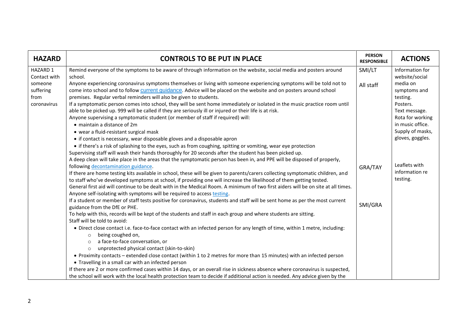| <b>HAZARD</b> | <b>CONTROLS TO BE PUT IN PLACE</b>                                                                                                | <b>PERSON</b><br><b>RESPONSIBLE</b> | <b>ACTIONS</b>   |
|---------------|-----------------------------------------------------------------------------------------------------------------------------------|-------------------------------------|------------------|
| HAZARD 1      | Remind everyone of the symptoms to be aware of through information on the website, social media and posters around                | SMI/LT                              | Information for  |
| Contact with  | school.                                                                                                                           |                                     | website/social   |
| someone       | Anyone experiencing coronavirus symptoms themselves or living with someone experiencing symptoms will be told not to              | All staff                           | media on         |
| suffering     | come into school and to follow current guidance. Advice will be placed on the website and on posters around school                |                                     | symptoms and     |
| from          | premises. Regular verbal reminders will also be given to students.                                                                |                                     | testing.         |
| coronavirus   | If a symptomatic person comes into school, they will be sent home immediately or isolated in the music practice room until        |                                     | Posters.         |
|               | able to be picked up. 999 will be called if they are seriously ill or injured or their life is at risk.                           |                                     | Text message.    |
|               | Anyone supervising a symptomatic student (or member of staff if required) will:                                                   |                                     | Rota for working |
|               | • maintain a distance of 2m                                                                                                       |                                     | in music office. |
|               | • wear a fluid-resistant surgical mask                                                                                            |                                     | Supply of masks, |
|               | • if contact is necessary, wear disposable gloves and a disposable apron                                                          |                                     | gloves, goggles. |
|               | • if there's a risk of splashing to the eyes, such as from coughing, spitting or vomiting, wear eye protection                    |                                     |                  |
|               | Supervising staff will wash their hands thoroughly for 20 seconds after the student has been picked up.                           |                                     |                  |
|               | A deep clean will take place in the areas that the symptomatic person has been in, and PPE will be disposed of properly,          |                                     |                  |
|               | following decontamination guidance.                                                                                               | GRA/TAY                             | Leaflets with    |
|               | If there are home testing kits available in school, these will be given to parents/carers collecting symptomatic children, and    |                                     | information re   |
|               | to staff who've developed symptoms at school, if providing one will increase the likelihood of them getting tested.               |                                     | testing.         |
|               | General first aid will continue to be dealt with in the Medical Room. A minimum of two first aiders will be on site at all times. |                                     |                  |
|               | Anyone self-isolating with symptoms will be required to access testing.                                                           |                                     |                  |
|               | If a student or member of staff tests positive for coronavirus, students and staff will be sent home as per the most current      |                                     |                  |
|               | guidance from the DfE or PHE.                                                                                                     | SMI/GRA                             |                  |
|               | To help with this, records will be kept of the students and staff in each group and where students are sitting.                   |                                     |                  |
|               | Staff will be told to avoid:                                                                                                      |                                     |                  |
|               | • Direct close contact i.e. face-to-face contact with an infected person for any length of time, within 1 metre, including:       |                                     |                  |
|               | being coughed on,<br>$\circ$                                                                                                      |                                     |                  |
|               | a face-to-face conversation, or<br>$\circ$                                                                                        |                                     |                  |
|               | unprotected physical contact (skin-to-skin)<br>$\circ$                                                                            |                                     |                  |
|               | • Proximity contacts – extended close contact (within 1 to 2 metres for more than 15 minutes) with an infected person             |                                     |                  |
|               | • Travelling in a small car with an infected person                                                                               |                                     |                  |
|               | If there are 2 or more confirmed cases within 14 days, or an overall rise in sickness absence where coronavirus is suspected,     |                                     |                  |
|               | the school will work with the local health protection team to decide if additional action is needed. Any advice given by the      |                                     |                  |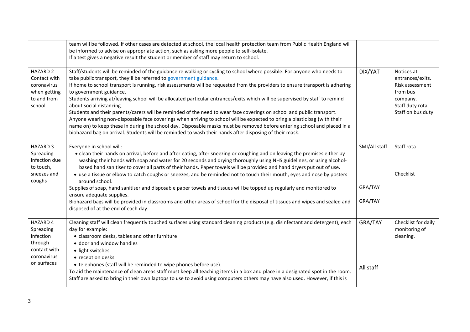|                                                                                                    | team will be followed. If other cases are detected at school, the local health protection team from Public Health England will<br>be informed to advise on appropriate action, such as asking more people to self-isolate.<br>If a test gives a negative result the student or member of staff may return to school.                                                                                                                                                                                                                                                                                                                                                                                                                                                                                                                                                                                                                                                                                             |                                     |                                                                                                                    |
|----------------------------------------------------------------------------------------------------|------------------------------------------------------------------------------------------------------------------------------------------------------------------------------------------------------------------------------------------------------------------------------------------------------------------------------------------------------------------------------------------------------------------------------------------------------------------------------------------------------------------------------------------------------------------------------------------------------------------------------------------------------------------------------------------------------------------------------------------------------------------------------------------------------------------------------------------------------------------------------------------------------------------------------------------------------------------------------------------------------------------|-------------------------------------|--------------------------------------------------------------------------------------------------------------------|
| <b>HAZARD 2</b><br>Contact with<br>coronavirus<br>when getting<br>to and from<br>school            | Staff/students will be reminded of the guidance re walking or cycling to school where possible. For anyone who needs to<br>take public transport, they'll be referred to government guidance.<br>If home to school transport is running, risk assessments will be requested from the providers to ensure transport is adhering<br>to government guidance.<br>Students arriving at/leaving school will be allocated particular entrances/exits which will be supervised by staff to remind<br>about social distancing.<br>Students and their parents/carers will be reminded of the need to wear face coverings on school and public transport.<br>Anyone wearing non-disposable face coverings when arriving to school will be expected to bring a plastic bag (with their<br>name on) to keep these in during the school day. Disposable masks must be removed before entering school and placed in a<br>biohazard bag on arrival. Students will be reminded to wash their hands after disposing of their mask. | DIX/YAT                             | Notices at<br>entrances/exits.<br>Risk assessment<br>from bus<br>company.<br>Staff duty rota.<br>Staff on bus duty |
| HAZARD 3<br>Spreading<br>infection due<br>to touch,<br>sneezes and<br>coughs                       | Everyone in school will:<br>• clean their hands on arrival, before and after eating, after sneezing or coughing and on leaving the premises either by<br>washing their hands with soap and water for 20 seconds and drying thoroughly using NHS guidelines, or using alcohol-<br>based hand sanitiser to cover all parts of their hands. Paper towels will be provided and hand dryers put out of use.<br>• use a tissue or elbow to catch coughs or sneezes, and be reminded not to touch their mouth, eyes and nose by posters<br>around school.<br>Supplies of soap, hand sanitiser and disposable paper towels and tissues will be topped up regularly and monitored to<br>ensure adequate supplies.<br>Biohazard bags will be provided in classrooms and other areas of school for the disposal of tissues and wipes and sealed and<br>disposed of at the end of each day.                                                                                                                                  | SMI/All staff<br>GRA/TAY<br>GRA/TAY | Staff rota<br>Checklist                                                                                            |
| <b>HAZARD 4</b><br>Spreading<br>infection<br>through<br>contact with<br>coronavirus<br>on surfaces | Cleaning staff will clean frequently touched surfaces using standard cleaning products (e.g. disinfectant and detergent), each<br>day for example:<br>• classroom desks, tables and other furniture<br>• door and window handles<br>· light switches<br>• reception desks<br>• telephones (staff will be reminded to wipe phones before use).<br>To aid the maintenance of clean areas staff must keep all teaching items in a box and place in a designated spot in the room.<br>Staff are asked to bring in their own laptops to use to avoid using computers others may have also used. However, if this is                                                                                                                                                                                                                                                                                                                                                                                                   | GRA/TAY<br>All staff                | Checklist for daily<br>monitoring of<br>cleaning.                                                                  |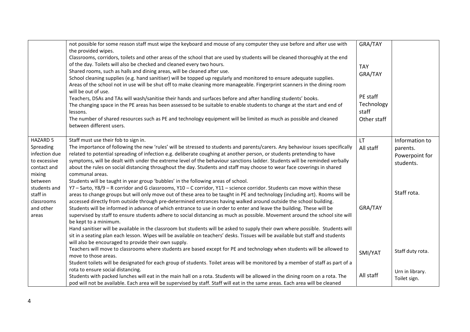|                                                                                                   | not possible for some reason staff must wipe the keyboard and mouse of any computer they use before and after use with<br>the provided wipes.<br>Classrooms, corridors, toilets and other areas of the school that are used by students will be cleaned thoroughly at the end<br>of the day. Toilets will also be checked and cleaned every two hours.<br>Shared rooms, such as halls and dining areas, will be cleaned after use.<br>School cleaning supplies (e.g. hand sanitiser) will be topped up regularly and monitored to ensure adequate supplies.<br>Areas of the school not in use will be shut off to make cleaning more manageable. Fingerprint scanners in the dining room<br>will be out of use.<br>Teachers, DSAs and TAs will wash/sanitise their hands and surfaces before and after handling students' books.<br>The changing space in the PE areas has been assessed to be suitable to enable students to change at the start and end of<br>lessons.<br>The number of shared resources such as PE and technology equipment will be limited as much as possible and cleaned<br>between different users. | GRA/TAY<br><b>TAY</b><br>GRA/TAY<br>PE staff<br>Technology<br>staff<br>Other staff |                                                           |
|---------------------------------------------------------------------------------------------------|----------------------------------------------------------------------------------------------------------------------------------------------------------------------------------------------------------------------------------------------------------------------------------------------------------------------------------------------------------------------------------------------------------------------------------------------------------------------------------------------------------------------------------------------------------------------------------------------------------------------------------------------------------------------------------------------------------------------------------------------------------------------------------------------------------------------------------------------------------------------------------------------------------------------------------------------------------------------------------------------------------------------------------------------------------------------------------------------------------------------------|------------------------------------------------------------------------------------|-----------------------------------------------------------|
| <b>HAZARD 5</b><br>Spreading<br>infection due<br>to excessive<br>contact and<br>mixing<br>between | Staff must use their fob to sign in.<br>The importance of following the new 'rules' will be stressed to students and parents/carers. Any behaviour issues specifically<br>related to potential spreading of infection e.g. deliberate coughing at another person, or students pretending to have<br>symptoms, will be dealt with under the extreme level of the behaviour sanctions ladder. Students will be reminded verbally<br>about the rules on social distancing throughout the day. Students and staff may choose to wear face coverings in shared<br>communal areas.<br>Students will be taught in year group 'bubbles' in the following areas of school.                                                                                                                                                                                                                                                                                                                                                                                                                                                          | <b>LT</b><br>All staff                                                             | Information to<br>parents.<br>Powerpoint for<br>students. |
| students and<br>staff in<br>classrooms<br>and other<br>areas                                      | Y7 - Sarto, Y8/9 - R corridor and G classrooms, Y10 - C corridor, Y11 - science corridor. Students can move within these<br>areas to change groups but will only move out of these area to be taught in PE and technology (including art). Rooms will be<br>accessed directly from outside through pre-determined entrances having walked around outside the school building.<br>Students will be informed in advance of which entrance to use in order to enter and leave the building. These will be<br>supervised by staff to ensure students adhere to social distancing as much as possible. Movement around the school site will<br>be kept to a minimum.<br>Hand sanitiser will be available in the classroom but students will be asked to supply their own where possible. Students will<br>sit in a seating plan each lesson. Wipes will be available on teachers' desks. Tissues will be available but staff and students<br>will also be encouraged to provide their own supply.                                                                                                                               | GRA/TAY                                                                            | Staff rota.                                               |
|                                                                                                   | Teachers will move to classrooms where students are based except for PE and technology when students will be allowed to<br>move to those areas.                                                                                                                                                                                                                                                                                                                                                                                                                                                                                                                                                                                                                                                                                                                                                                                                                                                                                                                                                                            | SMI/YAT                                                                            | Staff duty rota.                                          |
|                                                                                                   | Student toilets will be designated for each group of students. Toilet areas will be monitored by a member of staff as part of a<br>rota to ensure social distancing.<br>Students with packed lunches will eat in the main hall on a rota. Students will be allowed in the dining room on a rota. The<br>pod will not be available. Each area will be supervised by staff. Staff will eat in the same areas. Each area will be cleaned                                                                                                                                                                                                                                                                                                                                                                                                                                                                                                                                                                                                                                                                                      | All staff                                                                          | Urn in library.<br>Toilet sign.                           |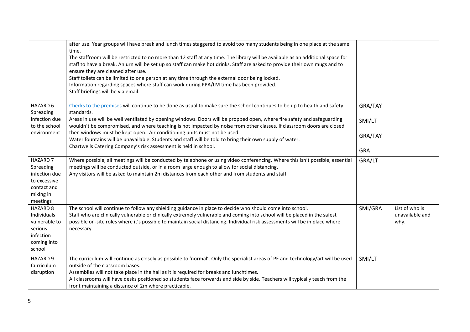|                                                                                                       | after use. Year groups will have break and lunch times staggered to avoid too many students being in one place at the same<br>time.<br>The staffroom will be restricted to no more than 12 staff at any time. The library will be available as an additional space for<br>staff to have a break. An urn will be set up so staff can make hot drinks. Staff are asked to provide their own mugs and to<br>ensure they are cleaned after use.<br>Staff toilets can be limited to one person at any time through the external door being locked.<br>Information regarding spaces where staff can work during PPA/LM time has been provided.<br>Staff briefings will be via email. |                                            |                                           |
|-------------------------------------------------------------------------------------------------------|--------------------------------------------------------------------------------------------------------------------------------------------------------------------------------------------------------------------------------------------------------------------------------------------------------------------------------------------------------------------------------------------------------------------------------------------------------------------------------------------------------------------------------------------------------------------------------------------------------------------------------------------------------------------------------|--------------------------------------------|-------------------------------------------|
| <b>HAZARD 6</b><br>Spreading<br>infection due<br>to the school<br>environment                         | Checks to the premises will continue to be done as usual to make sure the school continues to be up to health and safety<br>standards.<br>Areas in use will be well ventilated by opening windows. Doors will be propped open, where fire safety and safeguarding<br>wouldn't be compromised, and where teaching is not impacted by noise from other classes. If classroom doors are closed<br>then windows must be kept open. Air conditioning units must not be used.<br>Water fountains will be unavailable. Students and staff will be told to bring their own supply of water.<br>Chartwells Catering Company's risk assessment is held in school.                        | GRA/TAY<br>SMI/LT<br>GRA/TAY<br><b>GRA</b> |                                           |
| <b>HAZARD 7</b><br>Spreading<br>infection due<br>to excessive<br>contact and<br>mixing in<br>meetings | Where possible, all meetings will be conducted by telephone or using video conferencing. Where this isn't possible, essential<br>meetings will be conducted outside, or in a room large enough to allow for social distancing.<br>Any visitors will be asked to maintain 2m distances from each other and from students and staff.                                                                                                                                                                                                                                                                                                                                             | GRA/LT                                     |                                           |
| <b>HAZARD 8</b><br>Individuals<br>vulnerable to<br>serious<br>infection<br>coming into<br>school      | The school will continue to follow any shielding guidance in place to decide who should come into school.<br>Staff who are clinically vulnerable or clinically extremely vulnerable and coming into school will be placed in the safest<br>possible on-site roles where it's possible to maintain social distancing. Individual risk assessments will be in place where<br>necessary.                                                                                                                                                                                                                                                                                          | SMI/GRA                                    | List of who is<br>unavailable and<br>why. |
| HAZARD 9<br>Curriculum<br>disruption                                                                  | The curriculum will continue as closely as possible to 'normal'. Only the specialist areas of PE and technology/art will be used<br>outside of the classroom bases.<br>Assemblies will not take place in the hall as it is required for breaks and lunchtimes.<br>All classrooms will have desks positioned so students face forwards and side by side. Teachers will typically teach from the<br>front maintaining a distance of 2m where practicable.                                                                                                                                                                                                                        | SMI/LT                                     |                                           |